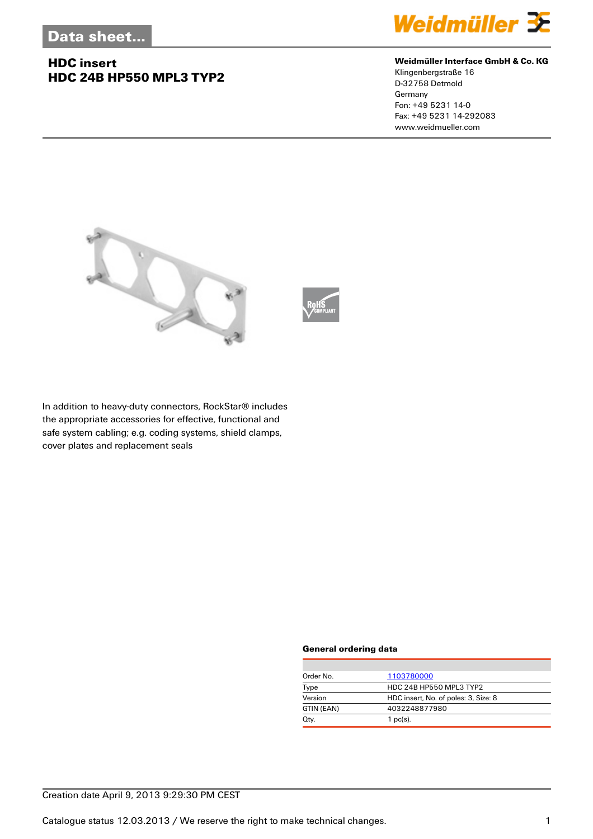## **HDC insert HDC 24B HP550 MPL3 TYP2**



#### **Weidmüller Interface GmbH & Co. KG**

Klingenbergstraße 16 D-32758 Detmold Germany Fon: +49 5231 14-0 Fax: +49 5231 14-292083 www.weidmueller.com





In addition to heavy-duty connectors, RockStar® includes the appropriate accessories for effective, functional and safe system cabling; e.g. coding systems, shield clamps, cover plates and replacement seals

#### **General ordering data**

| Order No.  | 1103780000                           |  |
|------------|--------------------------------------|--|
| Type       | HDC 24B HP550 MPL3 TYP2              |  |
| Version    | HDC insert, No. of poles: 3, Size: 8 |  |
| GTIN (EAN) | 4032248877980                        |  |
| Qty.       | $1$ pc(s).                           |  |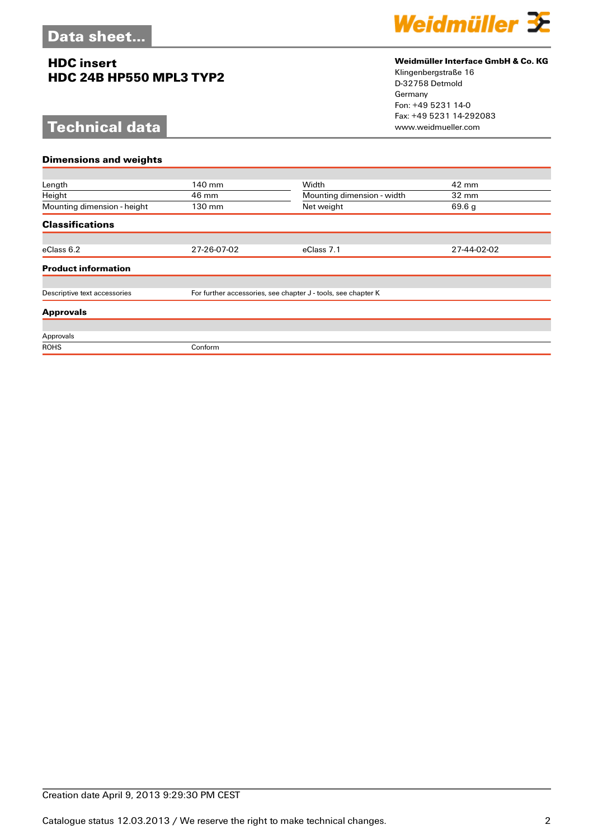## **HDC insert HDC 24B HP550 MPL3 TYP2**

# **Technical data**



### **Weidmüller Interface GmbH & Co. KG**

Klingenbergstraße 16 D-32758 Detmold Germany Fon: +49 5231 14-0 Fax: +49 5231 14-292083

| <b>Dimensions and weights</b> |                                                               |                            |                 |  |  |
|-------------------------------|---------------------------------------------------------------|----------------------------|-----------------|--|--|
|                               |                                                               |                            |                 |  |  |
| Length                        | 140 mm                                                        | Width                      | 42 mm           |  |  |
| Height                        | 46 mm                                                         | Mounting dimension - width | $32 \text{ mm}$ |  |  |
| Mounting dimension - height   | 130 mm                                                        | Net weight                 | 69.6 g          |  |  |
| <b>Classifications</b>        |                                                               |                            |                 |  |  |
|                               |                                                               |                            |                 |  |  |
| eClass 6.2                    | 27-26-07-02                                                   | eClass 7.1                 | 27-44-02-02     |  |  |
| <b>Product information</b>    |                                                               |                            |                 |  |  |
|                               |                                                               |                            |                 |  |  |
| Descriptive text accessories  | For further accessories, see chapter J - tools, see chapter K |                            |                 |  |  |
| <b>Approvals</b>              |                                                               |                            |                 |  |  |
|                               |                                                               |                            |                 |  |  |
| Approvals                     |                                                               |                            |                 |  |  |
| <b>ROHS</b>                   | Conform                                                       |                            |                 |  |  |